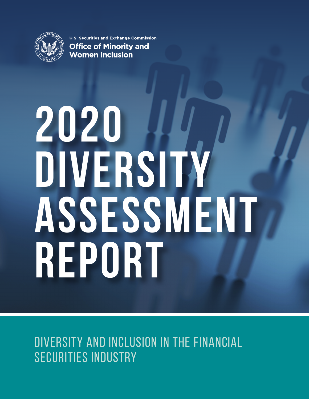

**U.S. Securities and Exchange Commission Office of Minority and Women Inclusion** 

# **2020 DIVERSITY ASSESSMENT REPORT**

# DIVERSITY AND INCLUSION IN THE FINANCIAL SECURITIES INDUSTRY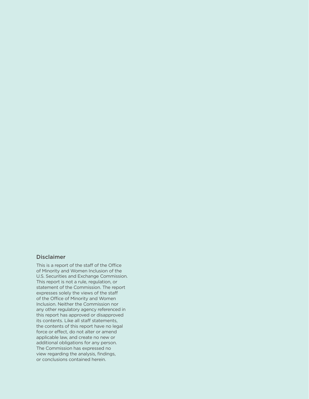### Disclaimer

This is a report of the staff of the Office of Minority and Women Inclusion of the U.S. Securities and Exchange Commission. This report is not a rule, regulation, or statement of the Commission. The report expresses solely the views of the staff of the Office of Minority and Women Inclusion. Neither the Commission nor any other regulatory agency referenced in this report has approved or disapproved its contents. Like all staff statements, the contents of this report have no legal force or effect, do not alter or amend applicable law, and create no new or additional obligations for any person. The Commission has expressed no view regarding the analysis, findings, or conclusions contained herein.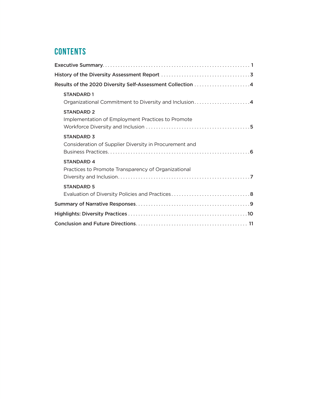# **Contents**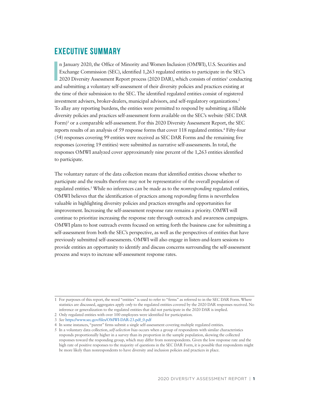## <span id="page-4-0"></span>**Executive Summary**

**I** n January 2020, the Office of Minority and Women Inclusion (OMWI), U.S. Securities and Exchange Commission (SEC), identified 1,263 regulated entities to participate in the SEC's 2020 Diversity Assessment Report process (2020 DAR), which consists of entities<sup>1</sup> conducting and submitting a voluntary self-assessment of their diversity policies and practices existing at the time of their submission to the SEC. The identified regulated entities consist of registered investment advisers, broker-dealers, municipal advisors, and self-regulatory organizations.<sup>2</sup> To allay any reporting burdens, the entities were permitted to respond by submitting a fillable diversity policies and practices self-assessment form available on the SEC's website (SEC DAR Form)<sup>3</sup> or a comparable self-assessment. For this 2020 Diversity Assessment Report, the SEC reports results of an analysis of 59 response forms that cover 118 regulated entities.<sup>4</sup> Fifty-four (54) responses covering 99 entities were received as SEC DAR Forms and the remaining five responses (covering 19 entities) were submitted as narrative self-assessments. In total, the responses OMWI analyzed cover approximately nine percent of the 1,263 entities identified to participate.

The voluntary nature of the data collection means that identified entities choose whether to participate and the results therefore may not be representative of the overall population of regulated entities.5 While no inferences can be made as to the *nonresponding* regulated entities, OMWI believes that the identification of practices among *responding* firms is nevertheless valuable in highlighting diversity policies and practices strengths and opportunities for improvement. Increasing the self-assessment response rate remains a priority. OMWI will continue to prioritize increasing the response rate through outreach and awareness campaigns. OMWI plans to host outreach events focused on setting forth the business case for submitting a self-assessment from both the SEC's perspective, as well as the perspectives of entities that have previously submitted self-assessments. OMWI will also engage in listen-and-learn sessions to provide entities an opportunity to identify and discuss concerns surrounding the self-assessment process and ways to increase self-assessment response rates.

<sup>1</sup> For purposes of this report, the word "entities" is used to refer to "firms" as referred to in the SEC DAR Form. Where statistics are discussed, aggregates apply *only* to the regulated entities covered by the 2020 DAR responses received. No inference or generalization to the regulated entities that did not participate in the 2020 DAR is implied.

<sup>2</sup> Only regulated entities with over 100 employees were identified for participation.

<sup>3</sup> *See* [https://www.sec.gov/files/OMWI-DAR-23.pdf\\_0.pdf](https://www.sec.gov/files/OMWI-DAR-23.pdf_0.pdf)

<sup>4</sup> In some instances, "parent" firms submit a single self-assessment covering multiple regulated entities.

<sup>5</sup> In a voluntary data collection, *self-selection bias* occurs when a group of respondents with similar characteristics responds proportionally higher in a survey than its proportion in the sample population, skewing the collected responses toward the responding group, which may differ from nonrespondents. Given the low response rate and the high rate of positive responses to the majority of questions in the SEC DAR Form, it is possible that respondents might be more likely than nonrespondents to have diversity and inclusion policies and practices in place.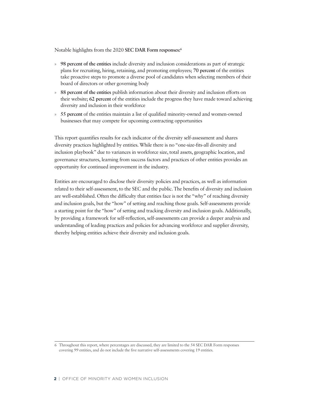Notable highlights from the 2020 **SEC DAR Form responses:6**

- » **98 percent of the entities** include diversity and inclusion considerations as part of strategic plans for recruiting, hiring, retaining, and promoting employees; **70 percent** of the entities take proactive steps to promote a diverse pool of candidates when selecting members of their board of directors or other governing body
- » **88 percent of the entities** publish information about their diversity and inclusion efforts on their website; **62 percent** of the entities include the progress they have made toward achieving diversity and inclusion in their workforce
- » **55 percent** of the entities maintain a list of qualified minority-owned and women-owned businesses that may compete for upcoming contracting opportunities

This report quantifies results for each indicator of the diversity self-assessment and shares diversity practices highlighted by entities. While there is no "one-size-fits-all diversity and inclusion playbook" due to variances in workforce size, total assets, geographic location, and governance structures, learning from success factors and practices of other entities provides an opportunity for continued improvement in the industry.

Entities are encouraged to disclose their diversity policies and practices, as well as information related to their self-assessment, to the SEC and the public. The benefits of diversity and inclusion are well-established. Often the difficulty that entities face is not the "why" of reaching diversity and inclusion goals, but the "how" of setting and reaching those goals. Self-assessments provide a starting point for the "how" of setting and tracking diversity and inclusion goals. Additionally, by providing a framework for self-reflection, self-assessments can provide a deeper analysis and understanding of leading practices and policies for advancing workforce and supplier diversity, thereby helping entities achieve their diversity and inclusion goals.

<sup>6</sup> Throughout this report, where percentages are discussed, they are limited to the 54 SEC DAR Form responses covering 99 entities, and do not include the five narrative self-assessments covering 19 entities.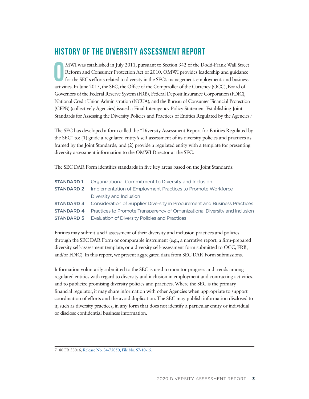# <span id="page-6-0"></span>**History of the Diversity Assessment Report**

**O** MWI was established in July 2011, pursuant to Section 342 of the Dodd-Frank Wall Street Reform and Consumer Protection Act of 2010. OMWI provides leadership and guidance for the SEC's efforts related to diversity in the SEC's management, employment, and business activities. In June 2015, the SEC, the Office of the Comptroller of the Currency (OCC), Board of Governors of the Federal Reserve System (FRB), Federal Deposit Insurance Corporation (FDIC), National Credit Union Administration (NCUA), and the Bureau of Consumer Financial Protection (CFPB) (collectively Agencies) issued a Final Interagency Policy Statement Establishing Joint Standards for Assessing the Diversity Policies and Practices of Entities Regulated by the Agencies.7

The SEC has developed a form called the "Diversity Assessment Report for Entities Regulated by the SEC" to: (1) guide a regulated entity's self-assessment of its diversity policies and practices as framed by the Joint Standards; and (2) provide a regulated entity with a template for presenting diversity assessment information to the OMWI Director at the SEC.

The SEC DAR Form identifies standards in five key areas based on the Joint Standards:

| <b>STANDARD 1</b> Organizational Commitment to Diversity and Inclusion                        |
|-----------------------------------------------------------------------------------------------|
| <b>STANDARD 2</b> Implementation of Employment Practices to Promote Workforce                 |
| Diversity and Inclusion                                                                       |
| <b>STANDARD 3</b> Consideration of Supplier Diversity in Procurement and Business Practices   |
| <b>STANDARD 4</b> Practices to Promote Transparency of Organizational Diversity and Inclusion |
| <b>STANDARD 5</b> Evaluation of Diversity Policies and Practices                              |

Entities may submit a self-assessment of their diversity and inclusion practices and policies through the SEC DAR Form or comparable instrument (e.g., a narrative report, a firm-prepared diversity self-assessment template, or a diversity self-assessment form submitted to OCC, FRB, and/or FDIC). In this report, we present aggregated data from SEC DAR Form submissions.

Information voluntarily submitted to the SEC is used to monitor progress and trends among regulated entities with regard to diversity and inclusion in employment and contracting activities, and to publicize promising diversity policies and practices. Where the SEC is the primary financial regulator, it may share information with other Agencies when appropriate to support coordination of efforts and the avoid duplication. The SEC may publish information disclosed to it, such as diversity practices, in any form that does not identify a particular entity or individual or disclose confidential business information.

<sup>7</sup> 80 FR 33016[, Release No. 34-75050; File No. S7-10-15.](https://www.sec.gov/rules/policy/2015/34-75050.pdf)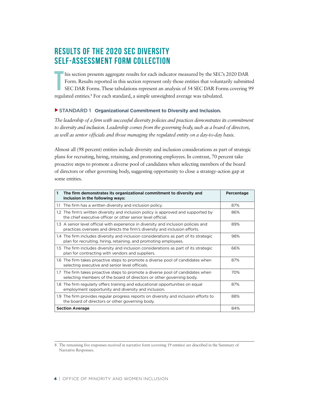# <span id="page-7-0"></span>**Results of the 2020 SEC Diversity Self-Assessment Form Collection**

**T** his section presents aggregate results for each indicator measured by the SEC's 2020 DAR Form. Results reported in this section represent only those entities that voluntarily submitted SEC DAR Forms. These tabulations represent an analysis of 54 SEC DAR Forms covering 99 regulated entities.<sup>8</sup> For each standard, a simple unweighted average was tabulated.

### ▶ STANDARD 1 Organizational Commitment to Diversity and Inclusion.

*The leadership of a firm with successful diversity policies and practices demonstrates its commitment to diversity and inclusion. Leadership comes from the governing body, such as a board of directors, as well as senior officials and those managing the regulated entity on a day-to-day basis.*

Almost all (98 percent) entities include diversity and inclusion considerations as part of strategic plans for recruiting, hiring, retaining, and promoting employees. In contrast, 70 percent take proactive steps to promote a diverse pool of candidates when selecting members of the board of directors or other governing body, suggesting opportunity to close a strategy-action gap at some entities.

| 1 | The firm demonstrates its organizational commitment to diversity and<br>inclusion in the following ways:                                                          | Percentage |
|---|-------------------------------------------------------------------------------------------------------------------------------------------------------------------|------------|
|   | 1.1 The firm has a written diversity and inclusion policy.                                                                                                        | 87%        |
|   | 1.2 The firm's written diversity and inclusion policy is approved and supported by<br>the chief executive officer or other senior level official.                 | 86%        |
|   | 1.3 A senior level official with experience in diversity and inclusion policies and<br>practices oversees and directs the firm's diversity and inclusion efforts. | 89%        |
|   | 1.4 The firm includes diversity and inclusion considerations as part of its strategic<br>plan for recruiting, hiring, retaining, and promoting employees.         | 98%        |
|   | 1.5 The firm includes diversity and inclusion considerations as part of its strategic<br>plan for contracting with vendors and suppliers.                         | 66%        |
|   | 1.6 The firm takes proactive steps to promote a diverse pool of candidates when<br>selecting executive and senior level officials.                                | 87%        |
|   | 1.7 The firm takes proactive steps to promote a diverse pool of candidates when<br>selecting members of the board of directors or other governing body.           | 70%        |
|   | 1.8 The firm regularly offers training and educational opportunities on equal<br>employment opportunity and diversity and inclusion.                              | 87%        |
|   | 1.9 The firm provides regular progress reports on diversity and inclusion efforts to<br>the board of directors or other governing body.                           | 88%        |
|   | <b>Section Average</b>                                                                                                                                            | 84%        |

<sup>8</sup> The remaining five responses received in narrative form (covering 19 entities) are described in the Summary of Narrative Responses.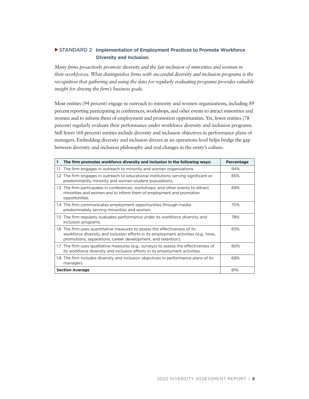### <span id="page-8-0"></span>▲STANDARD 2 **Implementation of Employment Practices to Promote Workforce Diversity and Inclusion.**

*Many firms proactively promote diversity and the fair inclusion of minorities and women in their workforces. What distinguishes firms with successful diversity and inclusion programs is the recognition that gathering and using the data for regularly evaluating programs provides valuable insight for driving the firm's business goals.* 

Most entities (94 percent) engage in outreach to minority and women organizations, including 89 percent reporting participating in conferences, workshops, and other events to attract minorities and women and to inform them of employment and promotion opportunities. Yet, fewer entities (78 percent) regularly evaluate their performance under workforce diversity and inclusion programs. Still fewer (68 percent) entities include diversity and inclusion objectives in performance plans of managers. Embedding diversity and inclusion drivers at an operations level helps bridge the gap between diversity and inclusion philosophy and real changes in the entity's culture.

| 1   | The firm promotes workforce diversity and inclusion in the following ways:                                                                                                                                                         | Percentage |
|-----|------------------------------------------------------------------------------------------------------------------------------------------------------------------------------------------------------------------------------------|------------|
| 1.1 | The firm engages in outreach to minority and women organizations.                                                                                                                                                                  | 94%        |
|     | 1.2 The firm engages in outreach to educational institutions serving significant or<br>predominantly minority and women student populations.                                                                                       | 85%        |
|     | 1.3 The firm participates in conferences, workshops, and other events to attract<br>minorities and women and to inform them of employment and promotion<br>opportunities.                                                          | 89%        |
|     | 1.4 The firm communicates employment opportunities through media<br>predominately serving minorities and women.                                                                                                                    | 70%        |
|     | 1.5 The firm regularly evaluates performance under its workforce diversity and<br>inclusion programs.                                                                                                                              | 78%        |
|     | 1.6 The firm uses quantitative measures to assess the effectiveness of its<br>workforce diversity and inclusion efforts in its employment activities (e.g., hires,<br>promotions, separations, career development, and retention). | 83%        |
|     | 1.7 The firm uses qualitative measures (e.g., surveys) to assess the effectiveness of<br>its workforce diversity and inclusion efforts in its employment activities.                                                               | 80%        |
|     | 1.8 The firm includes diversity and inclusion objectives in performance plans of its<br>managers.                                                                                                                                  | 68%        |
|     | <b>Section Average</b>                                                                                                                                                                                                             | 81%        |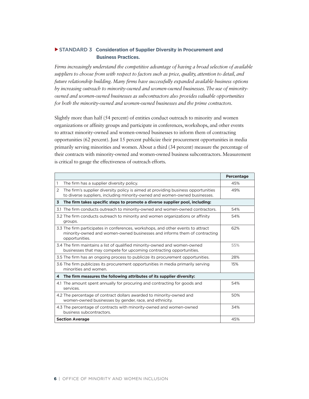### <span id="page-9-0"></span>▶ STANDARD 3 Consideration of Supplier Diversity in Procurement and  **Business Practices.**

*Firms increasingly understand the competitive advantage of having a broad selection of available suppliers to choose from with respect to factors such as price, quality, attention to detail, and future relationship building. Many firms have successfully expanded available business options by increasing outreach to minority-owned and women-owned businesses. The use of minorityowned and women-owned businesses as subcontractors also provides valuable opportunities for both the minority-owned and women-owned businesses and the prime contractors.*

Slightly more than half (54 percent) of entities conduct outreach to minority and women organizations or affinity groups and participate in conferences, workshops, and other events to attract minority-owned and women-owned businesses to inform them of contracting opportunities (62 percent). Just 15 percent publicize their procurement opportunities in media primarily serving minorities and women. About a third (34 percent) measure the percentage of their contracts with minority-owned and women-owned business subcontractors. Measurement is critical to gauge the effectiveness of outreach efforts.

|                                                                                                                                                                                 | Percentage |
|---------------------------------------------------------------------------------------------------------------------------------------------------------------------------------|------------|
| The firm has a supplier diversity policy.<br>1                                                                                                                                  | 45%        |
| The firm's supplier diversity policy is aimed at providing business opportunities<br>2<br>to diverse suppliers, including minority-owned and women-owned businesses.            | 49%        |
| The firm takes specific steps to promote a diverse supplier pool, including:<br>3                                                                                               |            |
| 3.1 The firm conducts outreach to minority-owned and women-owned contractors.                                                                                                   | 54%        |
| 3.2 The firm conducts outreach to minority and women organizations or affinity<br>groups.                                                                                       | 54%        |
| 3.3 The firm participates in conferences, workshops, and other events to attract<br>minority-owned and women-owned businesses and informs them of contracting<br>opportunities. | 62%        |
| 3.4 The firm maintains a list of qualified minority-owned and women-owned<br>businesses that may compete for upcoming contracting opportunities.                                | 55%        |
| 3.5 The firm has an ongoing process to publicize its procurement opportunities.                                                                                                 | 28%        |
| 3.6 The firm publicizes its procurement opportunities in media primarily serving<br>minorities and women.                                                                       | 15%        |
| The firm measures the following attributes of its supplier diversity:<br>4                                                                                                      |            |
| 4.1 The amount spent annually for procuring and contracting for goods and<br>services.                                                                                          | 54%        |
| 4.2 The percentage of contract dollars awarded to minority-owned and<br>women-owned businesses by gender, race, and ethnicity.                                                  | 50%        |
| 4.3 The percentage of contracts with minority-owned and women-owned<br>business subcontractors.                                                                                 | 34%        |
| <b>Section Average</b>                                                                                                                                                          | 45%        |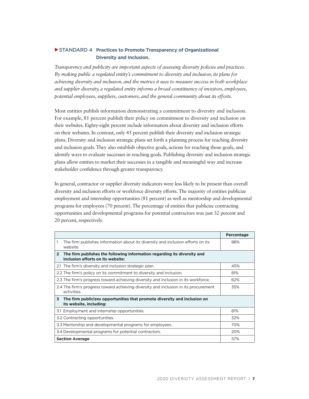### <span id="page-10-0"></span>▶ STANDARD 4 **Practices to Promote Transparency of Organizational Diversity and Inclusion.**

*Transparency and publicity are important aspects of assessing diversity policies and practices. By making public a regulated entity's commitment to diversity and inclusion, its plans for achieving diversity and inclusion, and the metrics it uses to measure success in both workplace and supplier diversity, a regulated entity informs a broad constituency of investors, employees, potential employees, suppliers, customers, and the general community about its efforts.*

Most entities publish information demonstrating a commitment to diversity and inclusion. For example, 81 percent publish their policy on commitment to diversity and inclusion on their websites. Eighty-eight percent include information about diversity and inclusion efforts on their websites. In contrast, only 45 percent publish their diversity and inclusion strategic plans. Diversity and inclusion strategic plans set forth a planning process for reaching diversity and inclusion goals. They also establish objective goals, actions for reaching those goals, and identify ways to evaluate successes in reaching goals. Publishing diversity and inclusion strategic plans allow entities to market their successes in a tangible and meaningful way and increase stakeholder confidence through greater transparency.

In general, contractor or supplier diversity indicators were less likely to be present than overall diversity and inclusion efforts or workforce diversity efforts. The majority of entities publicize employment and internship opportunities (81 percent) as well as mentorship and developmental programs for employees (70 percent). The percentage of entities that publicize contracting opportunities and developmental programs for potential contractors was just 32 percent and 20 percent, respectively.

|                                                                                                                                 | Percentage |  |
|---------------------------------------------------------------------------------------------------------------------------------|------------|--|
| 1<br>The firm publishes information about its diversity and inclusion efforts on its<br>website.                                | 88%        |  |
| The firm publishes the following information regarding its diversity and<br>$\overline{2}$<br>inclusion efforts on its website: |            |  |
| 2.1 The firm's diversity and inclusion strategic plan.                                                                          | 45%        |  |
| 2.2 The firm's policy on its commitment to diversity and inclusion.                                                             | 81%        |  |
| 2.3 The firm's progress toward achieving diversity and inclusion in its workforce.                                              | 62%        |  |
| 2.4 The firm's progress toward achieving diversity and inclusion in its procurement<br>activities.                              | 35%        |  |
| The firm publicizes opportunities that promote diversity and inclusion on<br>3<br>its website, including:                       |            |  |
| 3.1 Employment and internship opportunities.                                                                                    | 81%        |  |
| 3.2 Contracting opportunities.                                                                                                  | 32%        |  |
| 3.3 Mentorship and developmental programs for employees.                                                                        | 70%        |  |
| 3.4 Developmental programs for potential contractors.                                                                           | 20%        |  |
| <b>Section Average</b>                                                                                                          | 57%        |  |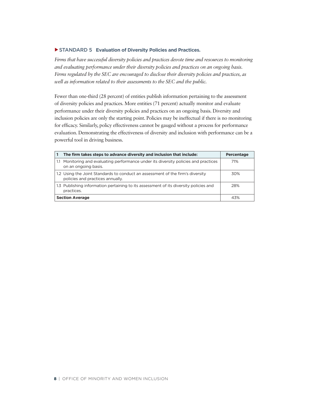### <span id="page-11-0"></span>▲STANDARD 5 **Evaluation of Diversity Policies and Practices.**

*Firms that have successful diversity policies and practices devote time and resources to monitoring and evaluating performance under their diversity policies and practices on an ongoing basis. Firms regulated by the SEC are encouraged to disclose their diversity policies and practices, as well as information related to their assessments to the SEC and the public.*

Fewer than one-third (28 percent) of entities publish information pertaining to the assessment of diversity policies and practices. More entities (71 percent) actually monitor and evaluate performance under their diversity policies and practices on an ongoing basis. Diversity and inclusion policies are only the starting point. Policies may be ineffectual if there is no monitoring for efficacy. Similarly, policy effectiveness cannot be gauged without a process for performance evaluation. Demonstrating the effectiveness of diversity and inclusion with performance can be a powerful tool in driving business.

|                        | The firm takes steps to advance diversity and inclusion that include:                                              | Percentage |
|------------------------|--------------------------------------------------------------------------------------------------------------------|------------|
| 1.1                    | Monitoring and evaluating performance under its diversity policies and practices<br>on an ongoing basis.           | 71%        |
|                        | 1.2 Using the Joint Standards to conduct an assessment of the firm's diversity<br>policies and practices annually. | 30%        |
|                        | 1.3 Publishing information pertaining to its assessment of its diversity policies and<br>practices.                | 28%        |
| <b>Section Average</b> |                                                                                                                    | 43%        |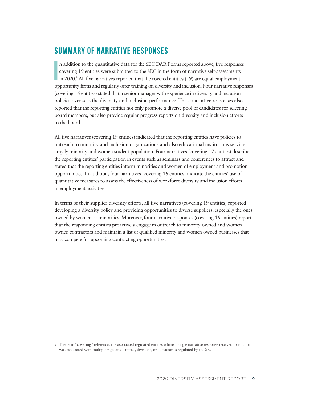# <span id="page-12-0"></span>**Summary of Narrative Responses**

**I** n addition to the quantitative data for the SEC DAR Forms reported above, five responses covering 19 entities were submitted to the SEC in the form of narrative self-assessments in 2020.<sup>9</sup> All five narratives reported that the covered entities (19) are equal employment opportunity firms and regularly offer training on diversity and inclusion. Four narrative responses (covering 16 entities) stated that a senior manager with experience in diversity and inclusion policies over-sees the diversity and inclusion performance. These narrative responses also reported that the reporting entities not only promote a diverse pool of candidates for selecting board members, but also provide regular progress reports on diversity and inclusion efforts to the board.

All five narratives (covering 19 entities) indicated that the reporting entities have policies to outreach to minority and inclusion organizations and also educational institutions serving largely minority and women student population. Four narratives (covering 17 entities) describe the reporting entities' participation in events such as seminars and conferences to attract and stated that the reporting entities inform minorities and women of employment and promotion opportunities. In addition, four narratives (covering 16 entities) indicate the entities' use of quantitative measures to assess the effectiveness of workforce diversity and inclusion efforts in employment activities.

In terms of their supplier diversity efforts, all five narratives (covering 19 entities) reported developing a diversity policy and providing opportunities to diverse suppliers, especially the ones owned by women or minorities. Moreover, four narrative responses (covering 16 entities) report that the responding entities proactively engage in outreach to minority-owned and womenowned contractors and maintain a list of qualified minority and women owned businesses that may compete for upcoming contracting opportunities.

<sup>9</sup> The term "covering" references the associated regulated entities where a single narrative response received from a firm was associated with multiple regulated entities, divisions, or subsidiaries regulated by the SEC.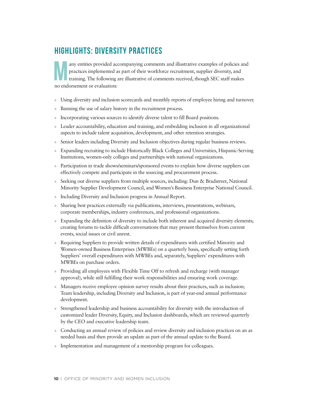# <span id="page-13-0"></span>**Highlights: Diversity Practices**

**Many entities provided accompanying comments and illustrative examples of policies and practices implemented as part of their workforce recruitment, supplier diversity, and training. The following are illustrative of comm** practices implemented as part of their workforce recruitment, supplier diversity, and no endorsement or evaluation:

- » Using diversity and inclusion scorecards and monthly reports of employee hiring and turnover.
- Banning the use of salary history in the recruitment process.
- » Incorporating various sources to identify diverse talent to fill Board positions.
- » Leader accountability, education and training, and embedding inclusion in all organizational aspects to include talent acquisition, development, and other retention strategies.
- » Senior leaders including Diversity and Inclusion objectives during regular business reviews.
- » Expanding recruiting to include Historically Black Colleges and Universities, Hispanic-Serving Institutions, women-only colleges and partnerships with national organizations.
- » Participation in trade shows/seminars/sponsored events to explain how diverse suppliers can effectively compete and participate in the sourcing and procurement process.
- » Seeking out diverse suppliers from multiple sources, including: Dun & Bradstreet, National Minority Supplier Development Council, and Women's Business Enterprise National Council.
- » Including Diversity and Inclusion progress in Annual Report.
- » Sharing best practices externally via publications, interviews, presentations, webinars, corporate memberships, industry conferences, and professional organizations.
- » Expanding the definition of diversity to include both inherent and acquired diversity elements; creating forums to tackle difficult conversations that may present themselves from current events, social issues or civil unrest.
- » Requiring Suppliers to provide written details of expenditures with certified Minority and Women-owned Business Enterprises (MWBEs) on a quarterly basis, specifically setting forth Suppliers' overall expenditures with MWBEs and, separately, Suppliers' expenditures with MWBEs on purchase orders.
- » Providing all employees with Flexible Time Off to refresh and recharge (with manager approval), while still fulfilling their work responsibilities and ensuring work coverage.
- » Managers receive employee opinion survey results about their practices, such as inclusion; Team leadership, including Diversity and Inclusion, is part of year-end annual performance development.
- » Strengthened leadership and business accountability for diversity with the introduction of customized leader Diversity, Equity, and Inclusion dashboards, which are reviewed quarterly by the CEO and executive leadership team.
- » Conducting an annual review of policies and review diversity and inclusion practices on an as needed basis and then provide an update as part of the annual update to the Board.
- » Implementation and management of a mentorship program for colleagues.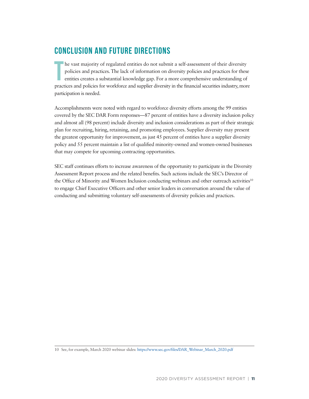# <span id="page-14-0"></span>**Conclusion and Future Directions**

**T** he vast majority of regulated entities do not submit a self-assessment of their diversity policies and practices. The lack of information on diversity policies and practices for these entities creates a substantial knowledge gap. For a more comprehensive understanding of practices and policies for workforce and supplier diversity in the financial securities industry, more participation is needed.

Accomplishments were noted with regard to workforce diversity efforts among the 99 entities covered by the SEC DAR Form responses—87 percent of entities have a diversity inclusion policy and almost all (98 percent) include diversity and inclusion considerations as part of their strategic plan for recruiting, hiring, retaining, and promoting employees. Supplier diversity may present the greatest opportunity for improvement, as just 45 percent of entities have a supplier diversity policy and 55 percent maintain a list of qualified minority-owned and women-owned businesses that may compete for upcoming contracting opportunities.

SEC staff continues efforts to increase awareness of the opportunity to participate in the Diversity Assessment Report process and the related benefits. Such actions include the SEC's Director of the Office of Minority and Women Inclusion conducting webinars and other outreach activities<sup>10</sup> to engage Chief Executive Officers and other senior leaders in conversation around the value of conducting and submitting voluntary self-assessments of diversity policies and practices.

<sup>10</sup> See, for example, March 2020 webinar slides: [https://www.sec.gov/files/DAR\\_Webinar\\_March\\_2020.pdf](https://www.sec.gov/files/DAR_Webinar_March_2020.pdf)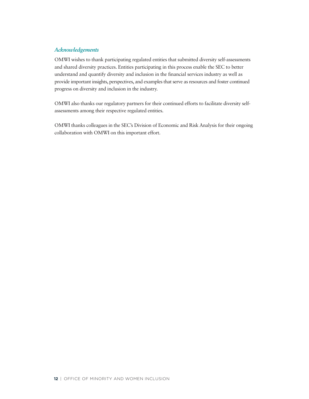### *Acknowledgements*

OMWI wishes to thank participating regulated entities that submitted diversity self-assessments and shared diversity practices. Entities participating in this process enable the SEC to better understand and quantify diversity and inclusion in the financial services industry as well as provide important insights, perspectives, and examples that serve as resources and foster continued progress on diversity and inclusion in the industry.

OMWI also thanks our regulatory partners for their continued efforts to facilitate diversity selfassessments among their respective regulated entities.

OMWI thanks colleagues in the SEC's Division of Economic and Risk Analysis for their ongoing collaboration with OMWI on this important effort.